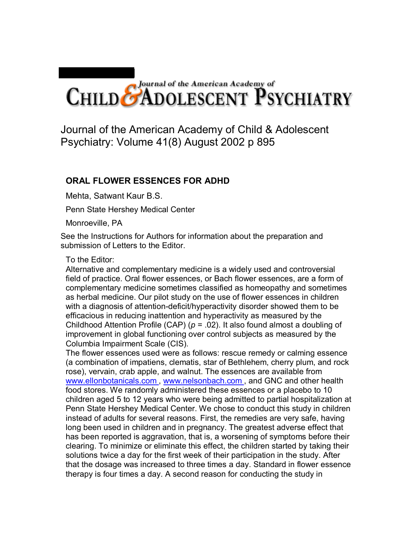## CHILD CADOLESCENT PSYCHIATRY

Journal of the American Academy of Child & Adolescent Psychiatry: Volume 41(8) August 2002 p 895

## **ORAL FLOWER ESSENCES FOR ADHD**

Mehta, Satwant Kaur B.S.

Penn State Hershey Medical Center

Monroeville, PA

See the Instructions for Authors for information about the preparation and submission of Letters to the Editor.

## To the Editor:

Alternative and complementary medicine is a widely used and controversial field of practice. Oral flower essences, or Bach flower essences, are a form of complementary medicine sometimes classified as homeopathy and sometimes as herbal medicine. Our pilot study on the use of flower essences in children with a diagnosis of attention-deficit/hyperactivity disorder showed them to be efficacious in reducing inattention and hyperactivity as measured by the Childhood Attention Profile (CAP) (*p* = .02). It also found almost a doubling of improvement in global functioning over control subjects as measured by the Columbia Impairment Scale (CIS).

The flower essences used were as follows: rescue remedy or calming essence (a combination of impatiens, clematis, star of Bethlehem, cherry plum, and rock rose), vervain, crab apple, and walnut. The essences are available from www.ellonbotanicals.com, www.nelsonbach.com, and GNC and other health food stores. We randomly administered these essences or a placebo to 10 children aged 5 to 12 years who were being admitted to partial hospitalization at Penn State Hershey Medical Center. We chose to conduct this study in children instead of adults for several reasons. First, the remedies are very safe, having long been used in children and in pregnancy. The greatest adverse effect that has been reported is aggravation, that is, a worsening of symptoms before their clearing. To minimize or eliminate this effect, the children started by taking their solutions twice a day for the first week of their participation in the study. After that the dosage was increased to three times a day. Standard in flower essence therapy is four times a day. A second reason for conducting the study in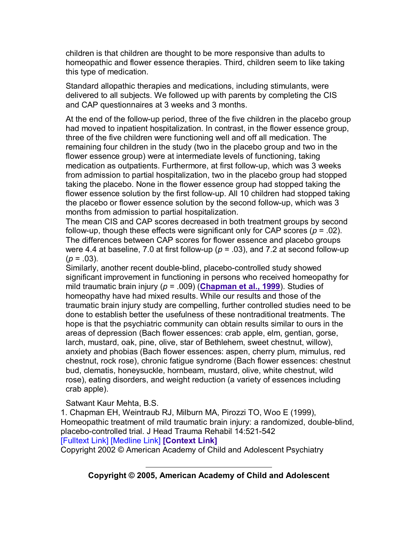children is that children are thought to be more responsive than adults to homeopathic and flower essence therapies. Third, children seem to like taking this type of medication.

Standard allopathic therapies and medications, including stimulants, were delivered to all subjects. We followed up with parents by completing the CIS and CAP questionnaires at 3 weeks and 3 months.

At the end of the follow-up period, three of the five children in the placebo group had moved to inpatient hospitalization. In contrast, in the flower essence group, three of the five children were functioning well and off all medication. The remaining four children in the study (two in the placebo group and two in the flower essence group) were at intermediate levels of functioning, taking medication as outpatients. Furthermore, at first follow-up, which was 3 weeks from admission to partial hospitalization, two in the placebo group had stopped taking the placebo. None in the flower essence group had stopped taking the flower essence solution by the first follow-up. All 10 children had stopped taking the placebo or flower essence solution by the second follow-up, which was 3 months from admission to partial hospitalization.

The mean CIS and CAP scores decreased in both treatment groups by second follow-up, though these effects were significant only for CAP scores  $(p = .02)$ . The differences between CAP scores for flower essence and placebo groups were 4.4 at baseline, 7.0 at first follow-up (*p* = .03), and 7.2 at second follow-up  $(p = .03)$ .

Similarly, another recent double-blind, placebo-controlled study showed significant improvement in functioning in persons who received homeopathy for mild traumatic brain injury (*p* = .009) (**Chapman et al., 1999**). Studies of homeopathy have had mixed results. While our results and those of the traumatic brain injury study are compelling, further controlled studies need to be done to establish better the usefulness of these nontraditional treatments. The hope is that the psychiatric community can obtain results similar to ours in the areas of depression (Bach flower essences: crab apple, elm, gentian, gorse, larch, mustard, oak, pine, olive, star of Bethlehem, sweet chestnut, willow), anxiety and phobias (Bach flower essences: aspen, cherry plum, mimulus, red chestnut, rock rose), chronic fatigue syndrome (Bach flower essences: chestnut bud, clematis, honeysuckle, hornbeam, mustard, olive, white chestnut, wild rose), eating disorders, and weight reduction (a variety of essences including crab apple).

Satwant Kaur Mehta, B.S.

1. Chapman EH, Weintraub RJ, Milburn MA, Pirozzi TO, Woo E (1999), Homeopathic treatment of mild traumatic brain injury: a randomized, double-blind, placebo-controlled trial. J Head Trauma Rehabil 14:521-542 [Fulltext Link] [Medline Link] **[Context Link]**

Copyright 2002 © American Academy of Child and Adolescent Psychiatry